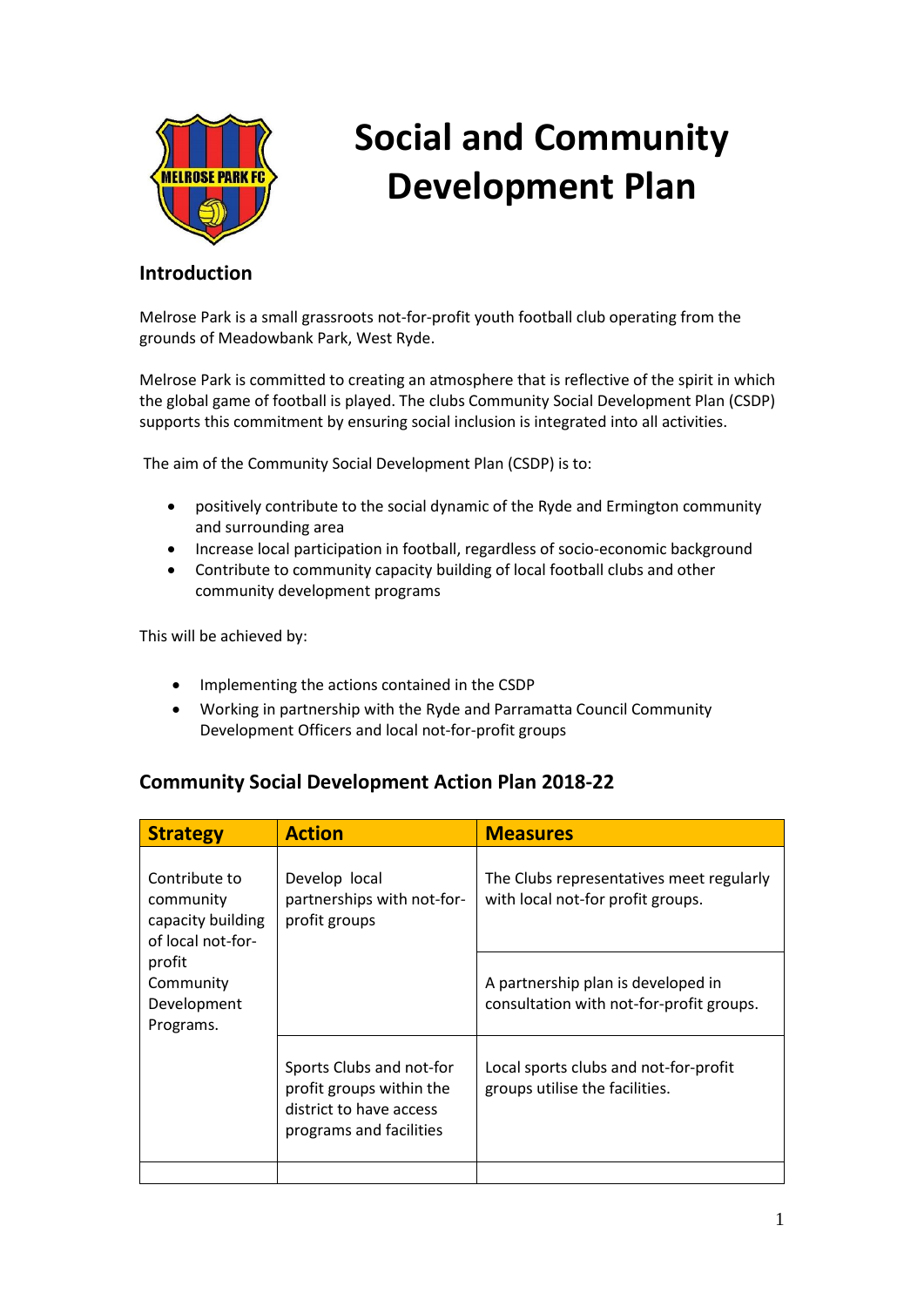

## **Social and Community Development Plan**

## **Introduction**

Melrose Park is a small grassroots not-for-profit youth football club operating from the grounds of Meadowbank Park, West Ryde.

Melrose Park is committed to creating an atmosphere that is reflective of the spirit in which the global game of football is played. The clubs Community Social Development Plan (CSDP) supports this commitment by ensuring social inclusion is integrated into all activities.

The aim of the Community Social Development Plan (CSDP) is to:

- positively contribute to the social dynamic of the Ryde and Ermington community and surrounding area
- Increase local participation in football, regardless of socio-economic background
- Contribute to community capacity building of local football clubs and other community development programs

This will be achieved by:

- Implementing the actions contained in the CSDP
- Working in partnership with the Ryde and Parramatta Council Community Development Officers and local not-for-profit groups

## **Community Social Development Action Plan 2018-22**

| <b>Strategy</b>                                                      | <b>Action</b>                                                                                              | <b>Measures</b>                                                                |
|----------------------------------------------------------------------|------------------------------------------------------------------------------------------------------------|--------------------------------------------------------------------------------|
| Contribute to<br>community<br>capacity building<br>of local not-for- | Develop local<br>partnerships with not-for-<br>profit groups                                               | The Clubs representatives meet regularly<br>with local not-for profit groups.  |
| profit<br>Community<br>Development<br>Programs.                      |                                                                                                            | A partnership plan is developed in<br>consultation with not-for-profit groups. |
|                                                                      | Sports Clubs and not-for<br>profit groups within the<br>district to have access<br>programs and facilities | Local sports clubs and not-for-profit<br>groups utilise the facilities.        |
|                                                                      |                                                                                                            |                                                                                |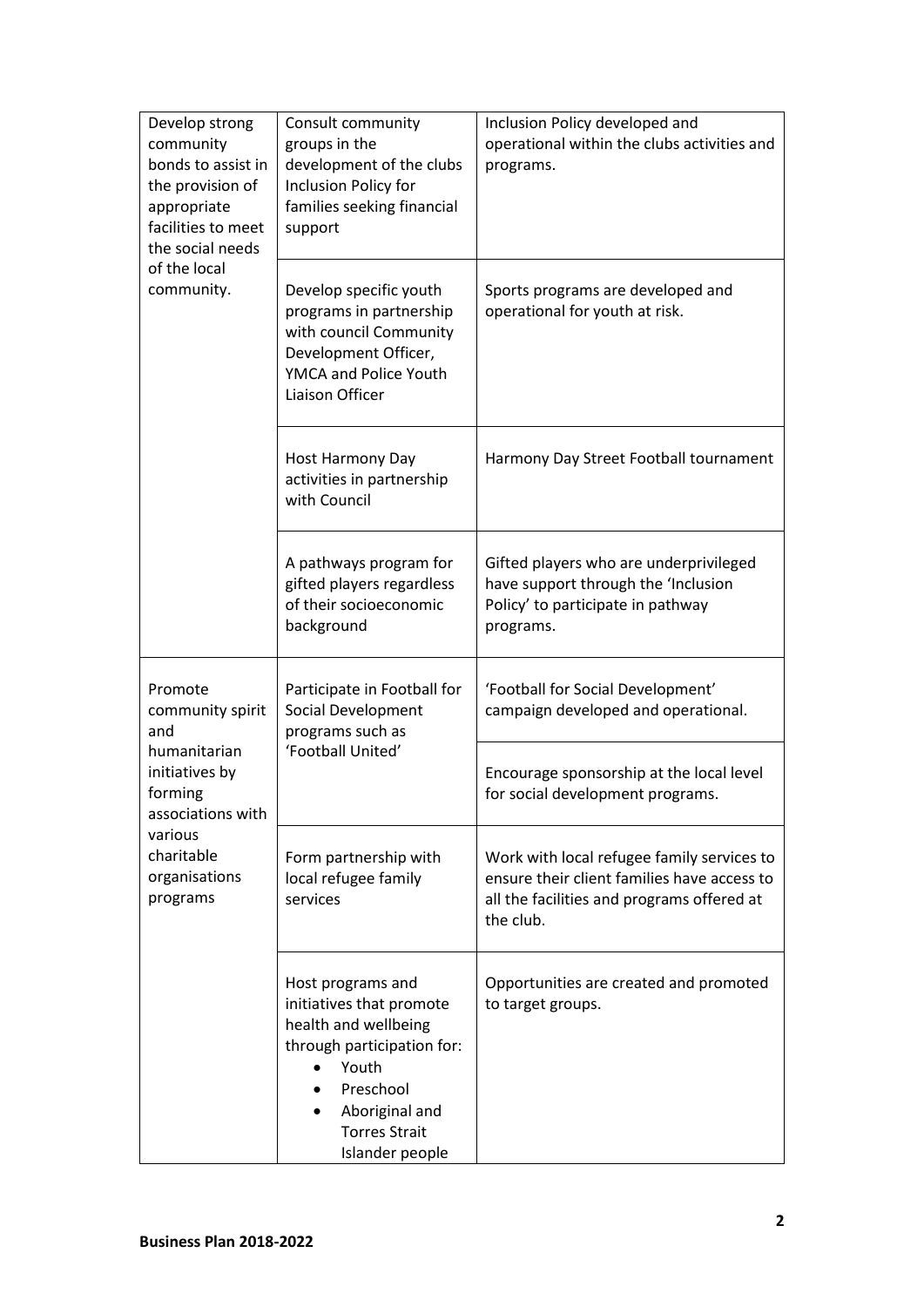| Develop strong<br>community<br>bonds to assist in<br>the provision of<br>appropriate<br>facilities to meet<br>the social needs<br>of the local<br>community. | Consult community<br>groups in the<br>development of the clubs<br>Inclusion Policy for<br>families seeking financial<br>support                                                        | Inclusion Policy developed and<br>operational within the clubs activities and<br>programs.                                                           |
|--------------------------------------------------------------------------------------------------------------------------------------------------------------|----------------------------------------------------------------------------------------------------------------------------------------------------------------------------------------|------------------------------------------------------------------------------------------------------------------------------------------------------|
|                                                                                                                                                              | Develop specific youth<br>programs in partnership<br>with council Community<br>Development Officer,<br>YMCA and Police Youth<br>Liaison Officer                                        | Sports programs are developed and<br>operational for youth at risk.                                                                                  |
|                                                                                                                                                              | Host Harmony Day<br>activities in partnership<br>with Council                                                                                                                          | Harmony Day Street Football tournament                                                                                                               |
|                                                                                                                                                              | A pathways program for<br>gifted players regardless<br>of their socioeconomic<br>background                                                                                            | Gifted players who are underprivileged<br>have support through the 'Inclusion<br>Policy' to participate in pathway<br>programs.                      |
| Promote<br>community spirit<br>and<br>humanitarian<br>initiatives by<br>forming<br>associations with<br>various<br>charitable<br>organisations<br>programs   | Participate in Football for<br>Social Development<br>programs such as<br>'Football United'                                                                                             | 'Football for Social Development'<br>campaign developed and operational.                                                                             |
|                                                                                                                                                              |                                                                                                                                                                                        | Encourage sponsorship at the local level<br>for social development programs.                                                                         |
|                                                                                                                                                              | Form partnership with<br>local refugee family<br>services                                                                                                                              | Work with local refugee family services to<br>ensure their client families have access to<br>all the facilities and programs offered at<br>the club. |
|                                                                                                                                                              | Host programs and<br>initiatives that promote<br>health and wellbeing<br>through participation for:<br>Youth<br>Preschool<br>Aboriginal and<br><b>Torres Strait</b><br>Islander people | Opportunities are created and promoted<br>to target groups.                                                                                          |